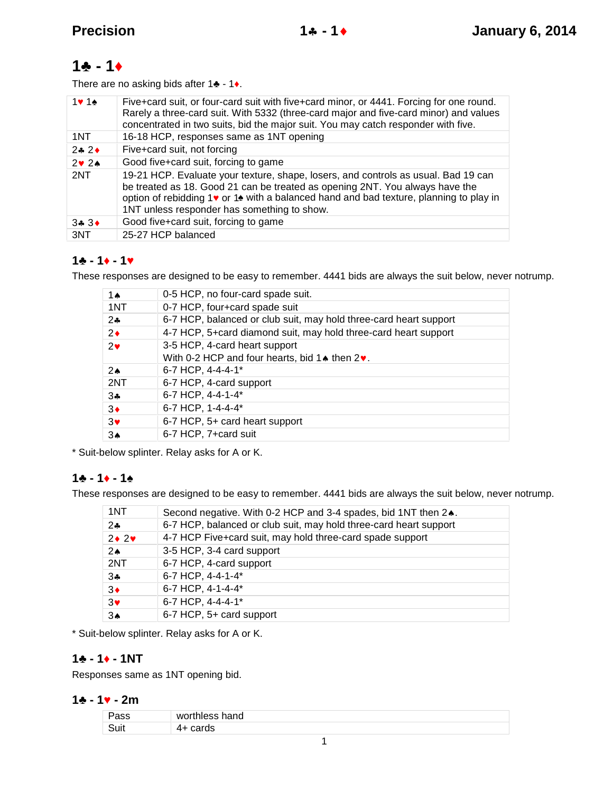# **1 - 1**

There are no asking bids after 1 - 1.

|                   | Five+card suit, or four-card suit with five+card minor, or 4441. Forcing for one round.<br>Rarely a three-card suit. With 5332 (three-card major and five-card minor) and values<br>concentrated in two suits, bid the major suit. You may catch responder with five.                                     |
|-------------------|-----------------------------------------------------------------------------------------------------------------------------------------------------------------------------------------------------------------------------------------------------------------------------------------------------------|
| 1NT               | 16-18 HCP, responses same as 1NT opening                                                                                                                                                                                                                                                                  |
| $2 \div 2 \div 2$ | Five+card suit, not forcing                                                                                                                                                                                                                                                                               |
| $2 \times 24$     | Good five+card suit, forcing to game                                                                                                                                                                                                                                                                      |
| 2NT               | 19-21 HCP. Evaluate your texture, shape, losers, and controls as usual. Bad 19 can<br>be treated as 18. Good 21 can be treated as opening 2NT. You always have the<br>option of rebidding 1 or 1 with a balanced hand and bad texture, planning to play in<br>1NT unless responder has something to show. |
| $3 + 3 +$         | Good five+card suit, forcing to game                                                                                                                                                                                                                                                                      |
| 3NT               | 25-27 HCP balanced                                                                                                                                                                                                                                                                                        |

## $1 - 1 - 1 - 1$

These responses are designed to be easy to remember. 4441 bids are always the suit below, never notrump.

| 1 $\triangle$  | 0-5 HCP, no four-card spade suit.                                         |
|----------------|---------------------------------------------------------------------------|
| 1NT            | 0-7 HCP, four+card spade suit                                             |
| $2$ $\bullet$  | 6-7 HCP, balanced or club suit, may hold three-card heart support         |
| $2\bullet$     | 4-7 HCP, 5+card diamond suit, may hold three-card heart support           |
| $2\bullet$     | 3-5 HCP, 4-card heart support                                             |
|                | With 0-2 HCP and four hearts, bid 1 $\triangle$ then 2 $\triangleright$ . |
| 2 <sub>A</sub> | 6-7 HCP, 4-4-4-1*                                                         |
| 2NT            | 6-7 HCP, 4-card support                                                   |
| $3\clubsuit$   | 6-7 HCP, 4-4-1-4*                                                         |
| $3\bullet$     | 6-7 HCP, 1-4-4-4*                                                         |
| $3\bullet$     | 6-7 HCP, 5+ card heart support                                            |
| $3\spadesuit$  | 6-7 HCP, 7+card suit                                                      |
|                |                                                                           |

\* Suit-below splinter. Relay asks for A or K.

## $1 - 1 - 1 - 1$

These responses are designed to be easy to remember. 4441 bids are always the suit below, never notrump.

| 1NT               | Second negative. With 0-2 HCP and 3-4 spades, bid 1NT then 2.     |
|-------------------|-------------------------------------------------------------------|
| $2 -$             | 6-7 HCP, balanced or club suit, may hold three-card heart support |
| $2 \cdot 2 \cdot$ | 4-7 HCP Five+card suit, may hold three-card spade support         |
| 2 <sub>A</sub>    | 3-5 HCP, 3-4 card support                                         |
| 2NT               | 6-7 HCP, 4-card support                                           |
| $3 -$             | 6-7 HCP, 4-4-1-4*                                                 |
| $3\bullet$        | 6-7 HCP, 4-1-4-4*                                                 |
| $3\bullet$        | 6-7 HCP, 4-4-4-1*                                                 |
| 3 <sub>A</sub>    | 6-7 HCP, 5+ card support                                          |
|                   |                                                                   |

\* Suit-below splinter. Relay asks for A or K.

#### **1 - 1 - 1NT**

Responses same as 1NT opening bid.

#### $1 \t-1 \t-2m1$

| 74S. | worthless hand |
|------|----------------|
| Suit | เนะ            |